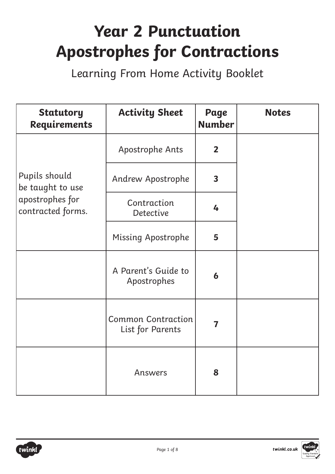## **Year 2 Punctuation Apostrophes for Contractions**

Learning From Home Activity Booklet

| <b>Statutory</b><br>Requirements     | <b>Activity Sheet</b>                         | Page<br><b>Number</b>   | <b>Notes</b> |
|--------------------------------------|-----------------------------------------------|-------------------------|--------------|
|                                      | Apostrophe Ants                               | $\overline{2}$          |              |
| Pupils should<br>be taught to use    | Andrew Apostrophe                             | $\overline{\mathbf{3}}$ |              |
| apostrophes for<br>contracted forms. | Contraction<br><b>Detective</b>               | 4                       |              |
|                                      | <b>Missing Apostrophe</b>                     | 5                       |              |
|                                      | A Parent's Guide to<br>Apostrophes            | $\boldsymbol{6}$        |              |
|                                      | <b>Common Contraction</b><br>List for Parents | 7                       |              |
|                                      | Answers                                       | 8                       |              |



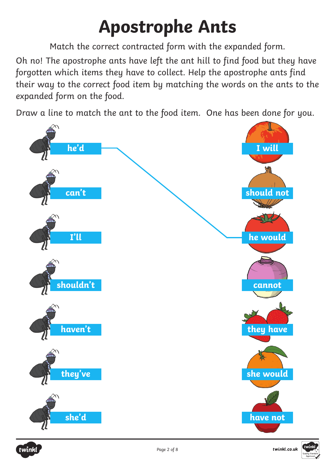## **Apostrophe Ants**

Match the correct contracted form with the expanded form.

Oh no! The apostrophe ants have left the ant hill to find food but they have forgotten which items they have to collect. Help the apostrophe ants find their way to the correct food item by matching the words on the ants to the expanded form on the food.

Draw a line to match the ant to the food item. One has been done for you.







twinkl.co.uk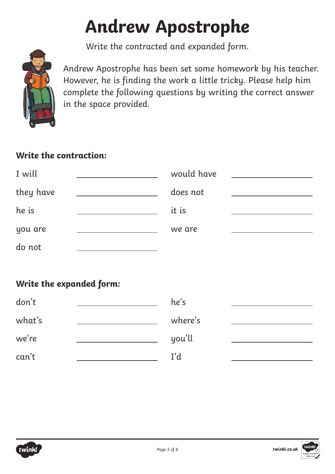# **Andrew Apostrophe**

Write the contracted and expanded form.



Andrew Apostrophe has been set some homework by his teacher. However, he is finding the work a little tricky. Please help him complete the following questions by writing the correct answer in the space provided.

### **Write the contraction:**

| I will    | would have |  |
|-----------|------------|--|
| they have | does not   |  |
| he is     | it is      |  |
| you are   | we are     |  |
| do not    |            |  |

## **Write the expanded form:**

| don't  | he's    |  |
|--------|---------|--|
| what's | where's |  |
| we're  | you'll  |  |
| can't  | I'd     |  |

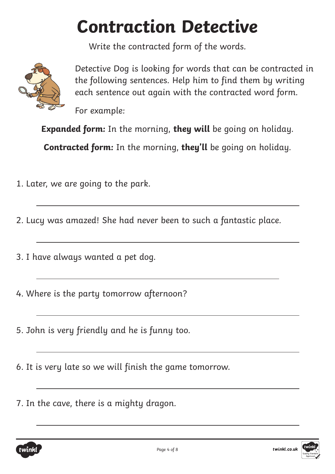## **Contraction Detective**

Write the contracted form of the words.



 $\overline{a}$ 

 $\overline{a}$ 

 $\overline{a}$ 

 $\overline{a}$ 

 $\overline{a}$ 

 $\overline{a}$ 

 $\overline{a}$ 

Detective Dog is looking for words that can be contracted in the following sentences. Help him to find them by writing each sentence out again with the contracted word form.

For example:

**Expanded form:** In the morning, **they will** be going on holiday.

**Contracted form:** In the morning, **they'll** be going on holiday.

1. Later, we are going to the park.

2. Lucy was amazed! She had never been to such a fantastic place.

3. I have always wanted a pet dog.

4. Where is the party tomorrow afternoon?

5. John is very friendly and he is funny too.

6. It is very late so we will finish the game tomorrow.

7. In the cave, there is a mighty dragon.



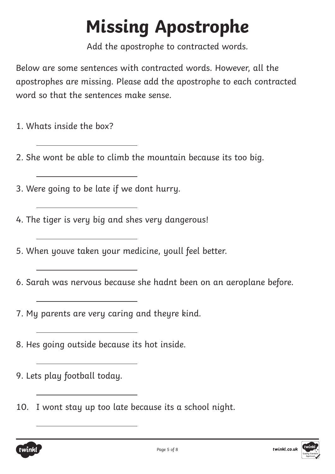# **Missing Apostrophe**

Add the apostrophe to contracted words.

Below are some sentences with contracted words. However, all the apostrophes are missing. Please add the apostrophe to each contracted word so that the sentences make sense.

1. Whats inside the box?

 $\overline{a}$ 

 $\overline{a}$ 

 $\overline{a}$ 

 $\overline{a}$ 

 $\overline{a}$ 

 $\overline{a}$ 

 $\overline{a}$ 

 $\overline{a}$ 

 $\overline{a}$ 

 $\overline{a}$ 

- 2. She wont be able to climb the mountain because its too big.
- 3. Were going to be late if we dont hurry.
- 4. The tiger is very big and shes very dangerous!
- 5. When youve taken your medicine, youll feel better.
- 6. Sarah was nervous because she hadnt been on an aeroplane before.
- 7. My parents are very caring and theyre kind.
- 8. Hes going outside because its hot inside.
- 9. Lets play football today.
- 10. I wont stay up too late because its a school night.



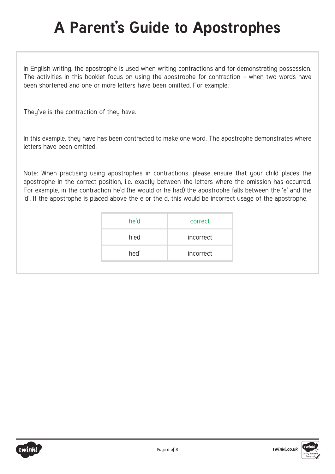## **A Parent's Guide to Apostrophes**

In English writing, the apostrophe is used when writing contractions and for demonstrating possession. The activities in this booklet focus on using the apostrophe for contraction – when two words have been shortened and one or more letters have been omitted. For example:

They've is the contraction of they have.

In this example, they have has been contracted to make one word. The apostrophe demonstrates where letters have been omitted.

Note: When practising using apostrophes in contractions, please ensure that your child places the apostrophe in the correct position, i.e. exactly between the letters where the omission has occurred. For example, in the contraction he'd (he would or he had) the apostrophe falls between the 'e' and the 'd'. If the apostrophe is placed above the e or the d, this would be incorrect usage of the apostrophe.

| he'd | correct   |
|------|-----------|
| h'ed | incorrect |
| hed' | incorrect |



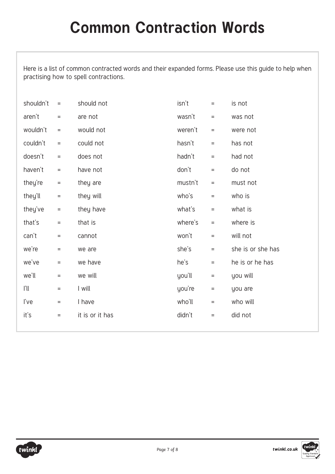Here is a list of common contracted words and their expanded forms. Please use this guide to help when practising how to spell contractions.

| shouldn't | $\equiv$        | should not      | isn't   | $\quad =$       | is not            |
|-----------|-----------------|-----------------|---------|-----------------|-------------------|
| aren't    | $=$             | are not         | wasn't  | $\quad =$       | was not           |
| wouldn't  | $\quad \  \  =$ | would not       | weren't | $=$             | were not          |
| couldn't  | $=$             | could not       | hasn't  | $=$             | has not           |
| doesn't   | $\quad =$       | does not        | hadn't  | $=$             | had not           |
| haven't   | $\quad \  \  =$ | have not        | don't   | $\quad =$       | do not            |
| they're   | $\quad =$       | they are        | mustn't | $=$             | must not          |
| they'll   | $=$             | they will       | who's   | $=$             | who is            |
| they've   | $=$             | they have       | what's  | $=$             | what is           |
| that's    | $\quad =$       | that is         | where's | $\equiv$        | where is          |
| can't     | $=$             | cannot          | won't   | $=$             | will not          |
| we're     | $=$             | we are          | she's   | $\equiv$        | she is or she has |
| we've     | $=$             | we have         | he's    | $=$             | he is or he has   |
| we'll     | $=$             | we will         | you'll  | $\quad \  \  =$ | you will          |
| ľl        | $=$             | I will          | you're  | $\quad \  \  =$ | you are           |
| l've      | $=$             | I have          | who'll  | $=$             | who will          |
| it's      | $=$             | it is or it has | didn't  | $\quad \  \  =$ | did not           |
|           |                 |                 |         |                 |                   |



twinkl.co.uk